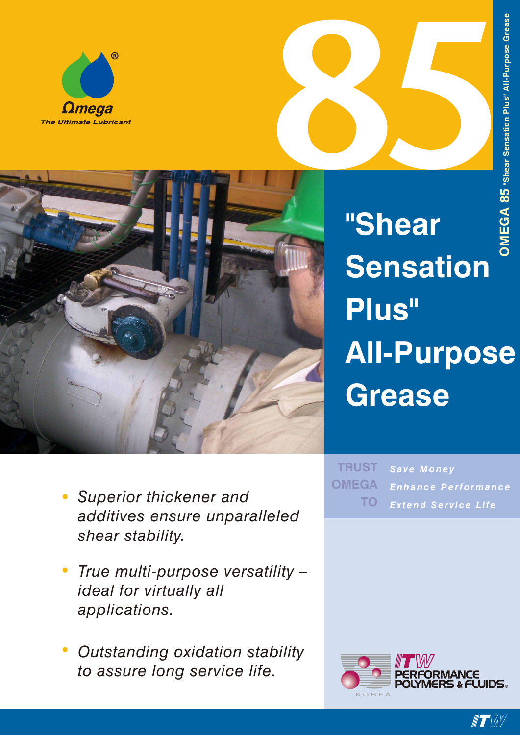



**"Shear Shear Sensation Plus" All-Purpose Grease**

*Save Money Enhance Performance Extend Service Life* **TRUST OMEGA TO**

- *• Superior thickener and additives ensure unparalleled shear stability.*
- *• True multi-purpose versatility – ideal for virtually all applications.*
- *• Outstanding oxidation stability to assure long service life.*



**IT W**